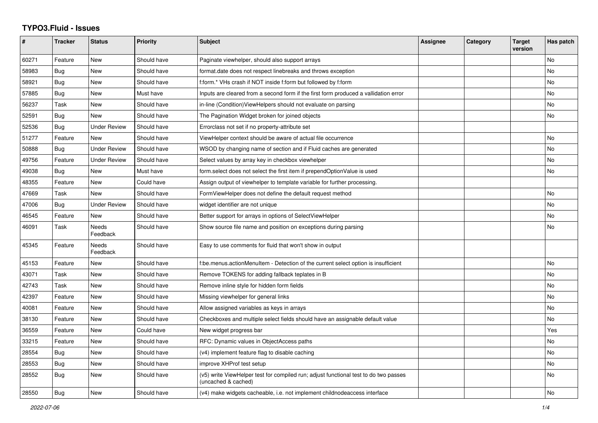## **TYPO3.Fluid - Issues**

| #     | <b>Tracker</b> | <b>Status</b>            | <b>Priority</b> | <b>Subject</b>                                                                                              | Assignee | Category | <b>Target</b><br>version | Has patch |
|-------|----------------|--------------------------|-----------------|-------------------------------------------------------------------------------------------------------------|----------|----------|--------------------------|-----------|
| 60271 | Feature        | <b>New</b>               | Should have     | Paginate viewhelper, should also support arrays                                                             |          |          |                          | No        |
| 58983 | Bug            | New                      | Should have     | format.date does not respect linebreaks and throws exception                                                |          |          |                          | No        |
| 58921 | Bug            | New                      | Should have     | f:form.* VHs crash if NOT inside f:form but followed by f:form                                              |          |          |                          | No        |
| 57885 | Bug            | <b>New</b>               | Must have       | Inputs are cleared from a second form if the first form produced a vallidation error                        |          |          |                          | <b>No</b> |
| 56237 | Task           | <b>New</b>               | Should have     | in-line (Condition) View Helpers should not evaluate on parsing                                             |          |          |                          | <b>No</b> |
| 52591 | Bug            | <b>New</b>               | Should have     | The Pagination Widget broken for joined objects                                                             |          |          |                          | No        |
| 52536 | Bug            | <b>Under Review</b>      | Should have     | Errorclass not set if no property-attribute set                                                             |          |          |                          |           |
| 51277 | Feature        | <b>New</b>               | Should have     | ViewHelper context should be aware of actual file occurrence                                                |          |          |                          | No        |
| 50888 | Bug            | <b>Under Review</b>      | Should have     | WSOD by changing name of section and if Fluid caches are generated                                          |          |          |                          | No        |
| 49756 | Feature        | <b>Under Review</b>      | Should have     | Select values by array key in checkbox viewhelper                                                           |          |          |                          | No        |
| 49038 | <b>Bug</b>     | <b>New</b>               | Must have       | form.select does not select the first item if prependOptionValue is used                                    |          |          |                          | No        |
| 48355 | Feature        | New                      | Could have      | Assign output of viewhelper to template variable for further processing.                                    |          |          |                          |           |
| 47669 | Task           | New                      | Should have     | FormViewHelper does not define the default request method                                                   |          |          |                          | No        |
| 47006 | Bug            | <b>Under Review</b>      | Should have     | widget identifier are not unique                                                                            |          |          |                          | <b>No</b> |
| 46545 | Feature        | <b>New</b>               | Should have     | Better support for arrays in options of SelectViewHelper                                                    |          |          |                          | No        |
| 46091 | Task           | <b>Needs</b><br>Feedback | Should have     | Show source file name and position on exceptions during parsing                                             |          |          |                          | No        |
| 45345 | Feature        | <b>Needs</b><br>Feedback | Should have     | Easy to use comments for fluid that won't show in output                                                    |          |          |                          |           |
| 45153 | Feature        | <b>New</b>               | Should have     | f:be.menus.actionMenuItem - Detection of the current select option is insufficient                          |          |          |                          | <b>No</b> |
| 43071 | Task           | New                      | Should have     | Remove TOKENS for adding fallback teplates in B                                                             |          |          |                          | No        |
| 42743 | Task           | <b>New</b>               | Should have     | Remove inline style for hidden form fields                                                                  |          |          |                          | No        |
| 42397 | Feature        | <b>New</b>               | Should have     | Missing viewhelper for general links                                                                        |          |          |                          | No        |
| 40081 | Feature        | New                      | Should have     | Allow assigned variables as keys in arrays                                                                  |          |          |                          | No.       |
| 38130 | Feature        | New                      | Should have     | Checkboxes and multiple select fields should have an assignable default value                               |          |          |                          | No        |
| 36559 | Feature        | New                      | Could have      | New widget progress bar                                                                                     |          |          |                          | Yes       |
| 33215 | Feature        | New                      | Should have     | RFC: Dynamic values in ObjectAccess paths                                                                   |          |          |                          | No        |
| 28554 | Bug            | <b>New</b>               | Should have     | (v4) implement feature flag to disable caching                                                              |          |          |                          | <b>No</b> |
| 28553 | Bug            | New                      | Should have     | improve XHProf test setup                                                                                   |          |          |                          | <b>No</b> |
| 28552 | Bug            | <b>New</b>               | Should have     | (v5) write ViewHelper test for compiled run; adjust functional test to do two passes<br>(uncached & cached) |          |          |                          | <b>No</b> |
| 28550 | Bug            | <b>New</b>               | Should have     | (v4) make widgets cacheable, i.e. not implement childnodeaccess interface                                   |          |          |                          | No        |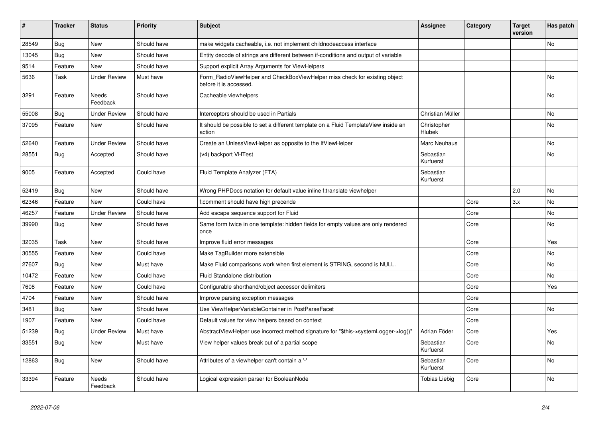| #     | <b>Tracker</b> | <b>Status</b>            | <b>Priority</b> | <b>Subject</b>                                                                                       | Assignee               | Category | <b>Target</b><br>version | Has patch |
|-------|----------------|--------------------------|-----------------|------------------------------------------------------------------------------------------------------|------------------------|----------|--------------------------|-----------|
| 28549 | Bug            | <b>New</b>               | Should have     | make widgets cacheable, i.e. not implement childnodeaccess interface                                 |                        |          |                          | <b>No</b> |
| 13045 | Bug            | <b>New</b>               | Should have     | Entity decode of strings are different between if-conditions and output of variable                  |                        |          |                          |           |
| 9514  | Feature        | <b>New</b>               | Should have     | Support explicit Array Arguments for ViewHelpers                                                     |                        |          |                          |           |
| 5636  | Task           | <b>Under Review</b>      | Must have       | Form RadioViewHelper and CheckBoxViewHelper miss check for existing object<br>before it is accessed. |                        |          |                          | No        |
| 3291  | Feature        | <b>Needs</b><br>Feedback | Should have     | Cacheable viewhelpers                                                                                |                        |          |                          | No        |
| 55008 | <b>Bug</b>     | <b>Under Review</b>      | Should have     | Interceptors should be used in Partials                                                              | Christian Müller       |          |                          | No        |
| 37095 | Feature        | <b>New</b>               | Should have     | It should be possible to set a different template on a Fluid TemplateView inside an<br>action        | Christopher<br>Hlubek  |          |                          | No        |
| 52640 | Feature        | <b>Under Review</b>      | Should have     | Create an UnlessViewHelper as opposite to the IfViewHelper                                           | Marc Neuhaus           |          |                          | No        |
| 28551 | <b>Bug</b>     | Accepted                 | Should have     | (v4) backport VHTest                                                                                 | Sebastian<br>Kurfuerst |          |                          | No        |
| 9005  | Feature        | Accepted                 | Could have      | Fluid Template Analyzer (FTA)                                                                        | Sebastian<br>Kurfuerst |          |                          |           |
| 52419 | Bug            | <b>New</b>               | Should have     | Wrong PHPDocs notation for default value inline f:translate viewhelper                               |                        |          | 2.0                      | No        |
| 62346 | Feature        | <b>New</b>               | Could have      | f:comment should have high precende                                                                  |                        | Core     | 3.x                      | <b>No</b> |
| 46257 | Feature        | <b>Under Review</b>      | Should have     | Add escape sequence support for Fluid                                                                |                        | Core     |                          | No        |
| 39990 | Bug            | <b>New</b>               | Should have     | Same form twice in one template: hidden fields for empty values are only rendered<br>once            |                        | Core     |                          | No        |
| 32035 | Task           | <b>New</b>               | Should have     | Improve fluid error messages                                                                         |                        | Core     |                          | Yes       |
| 30555 | Feature        | New                      | Could have      | Make TagBuilder more extensible                                                                      |                        | Core     |                          | No        |
| 27607 | Bug            | <b>New</b>               | Must have       | Make Fluid comparisons work when first element is STRING, second is NULL.                            |                        | Core     |                          | No        |
| 10472 | Feature        | <b>New</b>               | Could have      | Fluid Standalone distribution                                                                        |                        | Core     |                          | No        |
| 7608  | Feature        | <b>New</b>               | Could have      | Configurable shorthand/object accessor delimiters                                                    |                        | Core     |                          | Yes       |
| 4704  | Feature        | New                      | Should have     | Improve parsing exception messages                                                                   |                        | Core     |                          |           |
| 3481  | <b>Bug</b>     | <b>New</b>               | Should have     | Use ViewHelperVariableContainer in PostParseFacet                                                    |                        | Core     |                          | No        |
| 1907  | Feature        | <b>New</b>               | Could have      | Default values for view helpers based on context                                                     |                        | Core     |                          |           |
| 51239 | <b>Bug</b>     | <b>Under Review</b>      | Must have       | AbstractViewHelper use incorrect method signature for "\$this->systemLogger->log()"                  | Adrian Föder           | Core     |                          | Yes       |
| 33551 | Bug            | <b>New</b>               | Must have       | View helper values break out of a partial scope                                                      | Sebastian<br>Kurfuerst | Core     |                          | No        |
| 12863 | Bug            | New                      | Should have     | Attributes of a viewhelper can't contain a '-'                                                       | Sebastian<br>Kurfuerst | Core     |                          | No        |
| 33394 | Feature        | <b>Needs</b><br>Feedback | Should have     | Logical expression parser for BooleanNode                                                            | Tobias Liebig          | Core     |                          | No        |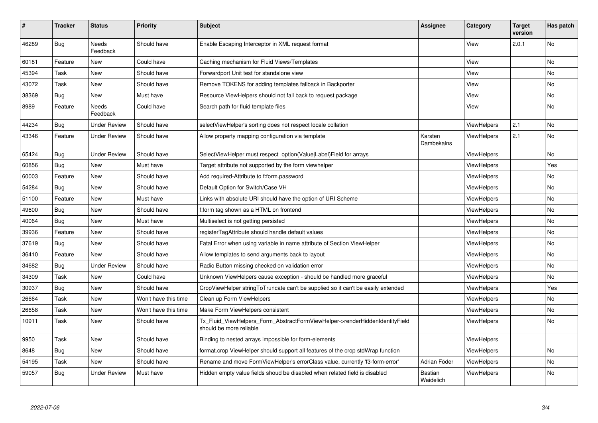| #     | <b>Tracker</b> | <b>Status</b>       | <b>Priority</b>      | <b>Subject</b>                                                                                         | <b>Assignee</b>             | Category           | <b>Target</b><br>version | Has patch |
|-------|----------------|---------------------|----------------------|--------------------------------------------------------------------------------------------------------|-----------------------------|--------------------|--------------------------|-----------|
| 46289 | Bug            | Needs<br>Feedback   | Should have          | Enable Escaping Interceptor in XML request format                                                      |                             | View               | 2.0.1                    | <b>No</b> |
| 60181 | Feature        | New                 | Could have           | Caching mechanism for Fluid Views/Templates                                                            |                             | View               |                          | <b>No</b> |
| 45394 | Task           | New                 | Should have          | Forwardport Unit test for standalone view                                                              |                             | View               |                          | <b>No</b> |
| 43072 | Task           | New                 | Should have          | Remove TOKENS for adding templates fallback in Backporter                                              |                             | View               |                          | No        |
| 38369 | <b>Bug</b>     | New                 | Must have            | Resource ViewHelpers should not fall back to request package                                           |                             | View               |                          | No        |
| 8989  | Feature        | Needs<br>Feedback   | Could have           | Search path for fluid template files                                                                   |                             | View               |                          | <b>No</b> |
| 44234 | <b>Bug</b>     | <b>Under Review</b> | Should have          | selectViewHelper's sorting does not respect locale collation                                           |                             | ViewHelpers        | 2.1                      | <b>No</b> |
| 43346 | Feature        | <b>Under Review</b> | Should have          | Allow property mapping configuration via template                                                      | Karsten<br>Dambekalns       | <b>ViewHelpers</b> | 2.1                      | No        |
| 65424 | <b>Bug</b>     | <b>Under Review</b> | Should have          | SelectViewHelper must respect option(Value Label)Field for arrays                                      |                             | <b>ViewHelpers</b> |                          | <b>No</b> |
| 60856 | Bug            | New                 | Must have            | Target attribute not supported by the form viewhelper                                                  |                             | ViewHelpers        |                          | Yes       |
| 60003 | Feature        | New                 | Should have          | Add required-Attribute to f:form.password                                                              |                             | <b>ViewHelpers</b> |                          | No        |
| 54284 | <b>Bug</b>     | New                 | Should have          | Default Option for Switch/Case VH                                                                      |                             | <b>ViewHelpers</b> |                          | <b>No</b> |
| 51100 | Feature        | New                 | Must have            | Links with absolute URI should have the option of URI Scheme                                           |                             | <b>ViewHelpers</b> |                          | <b>No</b> |
| 49600 | Bug            | New                 | Should have          | f:form tag shown as a HTML on frontend                                                                 |                             | <b>ViewHelpers</b> |                          | No        |
| 40064 | <b>Bug</b>     | New                 | Must have            | Multiselect is not getting persisted                                                                   |                             | ViewHelpers        |                          | No        |
| 39936 | Feature        | <b>New</b>          | Should have          | registerTagAttribute should handle default values                                                      |                             | ViewHelpers        |                          | <b>No</b> |
| 37619 | Bug            | New                 | Should have          | Fatal Error when using variable in name attribute of Section ViewHelper                                |                             | <b>ViewHelpers</b> |                          | No        |
| 36410 | Feature        | New                 | Should have          | Allow templates to send arguments back to layout                                                       |                             | ViewHelpers        |                          | <b>No</b> |
| 34682 | Bug            | Under Review        | Should have          | Radio Button missing checked on validation error                                                       |                             | <b>ViewHelpers</b> |                          | <b>No</b> |
| 34309 | Task           | New                 | Could have           | Unknown ViewHelpers cause exception - should be handled more graceful                                  |                             | ViewHelpers        |                          | No        |
| 30937 | <b>Bug</b>     | New                 | Should have          | CropViewHelper stringToTruncate can't be supplied so it can't be easily extended                       |                             | ViewHelpers        |                          | Yes       |
| 26664 | Task           | New                 | Won't have this time | Clean up Form ViewHelpers                                                                              |                             | ViewHelpers        |                          | No.       |
| 26658 | Task           | New                 | Won't have this time | Make Form ViewHelpers consistent                                                                       |                             | ViewHelpers        |                          | No        |
| 10911 | Task           | New                 | Should have          | Tx Fluid ViewHelpers Form AbstractFormViewHelper->renderHiddenIdentityField<br>should be more reliable |                             | <b>ViewHelpers</b> |                          | No        |
| 9950  | Task           | New                 | Should have          | Binding to nested arrays impossible for form-elements                                                  |                             | ViewHelpers        |                          |           |
| 8648  | Bug            | New                 | Should have          | format.crop ViewHelper should support all features of the crop stdWrap function                        |                             | ViewHelpers        |                          | No        |
| 54195 | Task           | New                 | Should have          | Rename and move FormViewHelper's errorClass value, currently 'f3-form-error'                           | Adrian Föder                | ViewHelpers        |                          | <b>No</b> |
| 59057 | <b>Bug</b>     | Under Review        | Must have            | Hidden empty value fields shoud be disabled when related field is disabled                             | <b>Bastian</b><br>Waidelich | ViewHelpers        |                          | <b>No</b> |